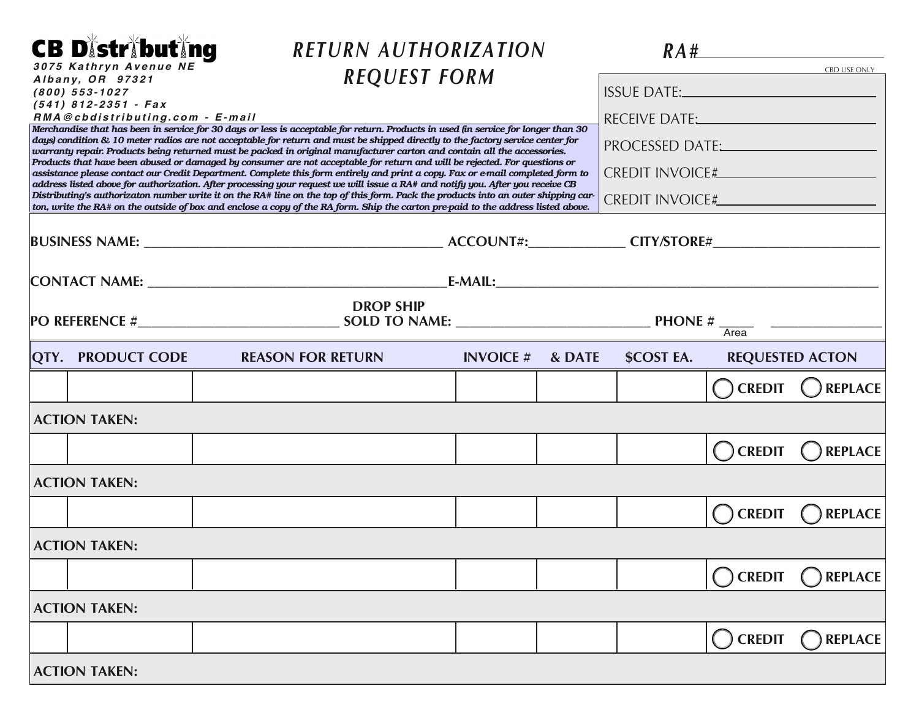| <b>CB Distributing</b>                                                                                                                                                                                                                                 |                                                           | RETURN AUTHORIZATION                                                                                                                                                                                                                                                 |                                                                                                                                                                                                                                |        |                                              |                   |                        |  |  |
|--------------------------------------------------------------------------------------------------------------------------------------------------------------------------------------------------------------------------------------------------------|-----------------------------------------------------------|----------------------------------------------------------------------------------------------------------------------------------------------------------------------------------------------------------------------------------------------------------------------|--------------------------------------------------------------------------------------------------------------------------------------------------------------------------------------------------------------------------------|--------|----------------------------------------------|-------------------|------------------------|--|--|
|                                                                                                                                                                                                                                                        | 3075 Kathryn Avenue NE<br>Albany, OR 97321                |                                                                                                                                                                                                                                                                      | <b>REQUEST FORM</b>                                                                                                                                                                                                            |        |                                              |                   | <b>CBD USE ONLY</b>    |  |  |
|                                                                                                                                                                                                                                                        | $(800)$ 553-1027                                          |                                                                                                                                                                                                                                                                      |                                                                                                                                                                                                                                |        | <b>ISSUE DATE:</b> <u><i>CONTERNATE:</i></u> |                   |                        |  |  |
|                                                                                                                                                                                                                                                        | $(541)$ 812-2351 - Fax<br>RMA@cbdistributing.com - E-mail |                                                                                                                                                                                                                                                                      |                                                                                                                                                                                                                                |        |                                              |                   |                        |  |  |
|                                                                                                                                                                                                                                                        |                                                           | Merchandise that has been in service for 30 days or less is acceptable for return. Products in used (in service for longer than 30<br>days) condition & 10 meter radios are not acceptable for return and must be shipped directly to the factory service center for | PROCESSED DATE: NAMEL AND RESERVE THE RESERVE TO A TEST OF THE RESERVE THE RESERVE THAT A TEST OF THE RESERVE THAT A TEST OF THE RESERVE THAT A TEST OF THE RESERVE THAT A TEST OF THE RESERVE THAT A TEST OF THE RESERVE THAT |        |                                              |                   |                        |  |  |
| warranty repair. Products being returned must be packed in original manufacturer carton and contain all the accessories.<br>Products that have been abused or damaged by consumer are not acceptable for return and will be rejected. For questions or |                                                           |                                                                                                                                                                                                                                                                      |                                                                                                                                                                                                                                |        |                                              |                   |                        |  |  |
|                                                                                                                                                                                                                                                        |                                                           | assistance please contact our Credit Department. Complete this form entirely and print a copy. Fax or e-mail completed form to<br>address listed above for authorization. After processing your request we will issue a RA# and notify you. After you receive CB     |                                                                                                                                                                                                                                |        |                                              |                   |                        |  |  |
|                                                                                                                                                                                                                                                        |                                                           | Distributing's authorizaton number write it on the RA# line on the top of this form. Pack the products into an outer shipping car-                                                                                                                                   |                                                                                                                                                                                                                                |        |                                              |                   |                        |  |  |
|                                                                                                                                                                                                                                                        |                                                           | ton, write the RA# on the outside of box and enclose a copy of the RA form. Ship the carton pre-paid to the address listed above.                                                                                                                                    |                                                                                                                                                                                                                                |        |                                              |                   |                        |  |  |
|                                                                                                                                                                                                                                                        |                                                           |                                                                                                                                                                                                                                                                      |                                                                                                                                                                                                                                |        |                                              |                   |                        |  |  |
|                                                                                                                                                                                                                                                        |                                                           |                                                                                                                                                                                                                                                                      |                                                                                                                                                                                                                                |        |                                              |                   |                        |  |  |
|                                                                                                                                                                                                                                                        |                                                           | <b>DROP SHIP</b>                                                                                                                                                                                                                                                     |                                                                                                                                                                                                                                |        |                                              |                   |                        |  |  |
|                                                                                                                                                                                                                                                        |                                                           | PO REFERENCE # $\overline{\text{SOLD TO NAME:}}$ PHONE # $\overline{\text{Area}}$                                                                                                                                                                                    |                                                                                                                                                                                                                                |        |                                              |                   |                        |  |  |
|                                                                                                                                                                                                                                                        | <b>QTY. PRODUCT CODE</b>                                  | <b>REASON FOR RETURN</b>                                                                                                                                                                                                                                             | <b>INVOICE</b> #                                                                                                                                                                                                               | & DATE | <b>\$COST EA.</b>                            |                   | <b>REQUESTED ACTON</b> |  |  |
|                                                                                                                                                                                                                                                        |                                                           |                                                                                                                                                                                                                                                                      |                                                                                                                                                                                                                                |        |                                              | $\bigcap$ CREDIT  | REPLACE                |  |  |
| <b>ACTION TAKEN:</b>                                                                                                                                                                                                                                   |                                                           |                                                                                                                                                                                                                                                                      |                                                                                                                                                                                                                                |        |                                              |                   |                        |  |  |
|                                                                                                                                                                                                                                                        |                                                           |                                                                                                                                                                                                                                                                      |                                                                                                                                                                                                                                |        |                                              | $\bigcirc$ CREDIT | <b>REPLACE</b>         |  |  |
| <b>ACTION TAKEN:</b>                                                                                                                                                                                                                                   |                                                           |                                                                                                                                                                                                                                                                      |                                                                                                                                                                                                                                |        |                                              |                   |                        |  |  |
|                                                                                                                                                                                                                                                        |                                                           |                                                                                                                                                                                                                                                                      |                                                                                                                                                                                                                                |        |                                              | <b>CREDIT</b>     | <b>REPLACE</b>         |  |  |
|                                                                                                                                                                                                                                                        | <b>ACTION TAKEN:</b>                                      |                                                                                                                                                                                                                                                                      |                                                                                                                                                                                                                                |        |                                              |                   |                        |  |  |
|                                                                                                                                                                                                                                                        |                                                           |                                                                                                                                                                                                                                                                      |                                                                                                                                                                                                                                |        |                                              | $\bigcirc$ CREDIT | $\bigcap$ REPLACE      |  |  |
|                                                                                                                                                                                                                                                        | <b>ACTION TAKEN:</b>                                      |                                                                                                                                                                                                                                                                      |                                                                                                                                                                                                                                |        |                                              |                   |                        |  |  |
|                                                                                                                                                                                                                                                        |                                                           |                                                                                                                                                                                                                                                                      |                                                                                                                                                                                                                                |        |                                              | $\bigcirc$ credit | $\bigcap$ REPLACE      |  |  |
|                                                                                                                                                                                                                                                        | <b>ACTION TAKEN:</b>                                      |                                                                                                                                                                                                                                                                      |                                                                                                                                                                                                                                |        |                                              |                   |                        |  |  |